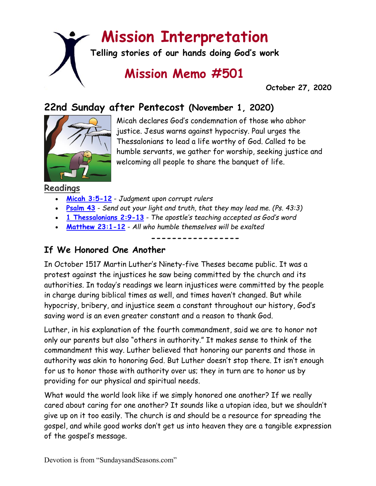# **Mission Interpretation**

**Telling stories of our hands doing God's work**

## **Mission Memo #501**

 **October 27, 2020**

## **22nd Sunday after Pentecost (November 1, 2020)**



Micah declares God's condemnation of those who abhor justice. Jesus warns against hypocrisy. Paul urges the Thessalonians to lead a life worthy of God. Called to be humble servants, we gather for worship, seeking justice and welcoming all people to share the banquet of life.

**Readings**

- **[Micah 3:5-12](https://members.sundaysandseasons.com/)** *Judgment upon corrupt rulers*
- **[Psalm 43](https://members.sundaysandseasons.com/)** *Send out your light and truth, that they may lead me. (Ps. 43:3)*
- **[1 Thessalonians 2:9-13](https://members.sundaysandseasons.com/)** *The apostle's teaching accepted as God's word*
- **[Matthew 23:1-12](https://members.sundaysandseasons.com/)** *All who humble themselves will be exalted*

**-----------------**

#### **If We Honored One Another**

In October 1517 Martin Luther's Ninety-five Theses became public. It was a protest against the injustices he saw being committed by the church and its authorities. In today's readings we learn injustices were committed by the people in charge during biblical times as well, and times haven't changed. But while hypocrisy, bribery, and injustice seem a constant throughout our history, God's saving word is an even greater constant and a reason to thank God.

Luther, in his explanation of the fourth commandment, said we are to honor not only our parents but also "others in authority." It makes sense to think of the commandment this way. Luther believed that honoring our parents and those in authority was akin to honoring God. But Luther doesn't stop there. It isn't enough for us to honor those with authority over us; they in turn are to honor us by providing for our physical and spiritual needs.

What would the world look like if we simply honored one another? If we really cared about caring for one another? It sounds like a utopian idea, but we shouldn't give up on it too easily. The church is and should be a resource for spreading the gospel, and while good works don't get us into heaven they are a tangible expression of the gospel's message.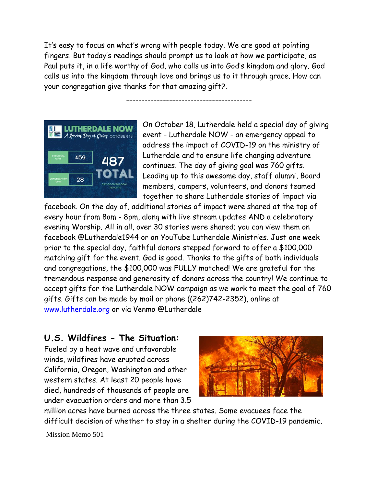It's easy to focus on what's wrong with people today. We are good at pointing fingers. But today's readings should prompt us to look at how we participate, as Paul puts it, in a life worthy of God, who calls us into God's kingdom and glory. God calls us into the kingdom through love and brings us to it through grace. How can your congregation give thanks for that amazing gift?.

-----------------------------------------



On October 18, Lutherdale held a special day of giving event - Lutherdale NOW - an emergency appeal to address the impact of COVID-19 on the ministry of Lutherdale and to ensure life changing adventure continues. The day of giving goal was 760 gifts. Leading up to this awesome day, staff alumni, Board members, campers, volunteers, and donors teamed together to share Lutherdale stories of impact via

facebook. On the day of, additional stories of impact were shared at the top of every hour from 8am - 8pm, along with live stream updates AND a celebratory evening Worship. All in all, over 30 stories were shared; you can view them on facebook @Lutherdale1944 or on YouTube Lutherdale Ministries. Just one week prior to the special day, faithful donors stepped forward to offer a \$100,000 matching gift for the event. God is good. Thanks to the gifts of both individuals and congregations, the \$100,000 was FULLY matched! We are grateful for the tremendous response and generosity of donors across the country! We continue to accept gifts for the Lutherdale NOW campaign as we work to meet the goal of 760 gifts. Gifts can be made by mail or phone ((262)742-2352), online at [www.lutherdale.org](http://www.lutherdale.org/) or via Venmo @Lutherdale

### **U.S. Wildfires - The Situation:**

Fueled by a heat wave and unfavorable winds, wildfires have erupted across California, Oregon, Washington and other western states. At least 20 people have died, hundreds of thousands of people are under evacuation orders and more than 3.5



million acres have burned across the three states. Some evacuees face the difficult decision of whether to stay in a shelter during the COVID-19 pandemic.

Mission Memo 501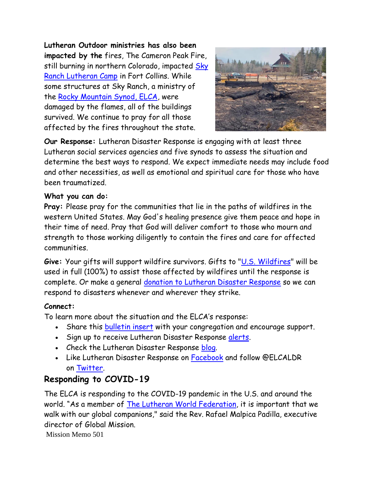**Lutheran Outdoor ministries has also been impacted by the** fires, The Cameron Peak Fire, still burning in northern Colorado, impacted Sky [Ranch Lutheran Camp](https://www.facebook.com/skyranchcolorado/?__tn__=K-R&eid=ARDuc0tEnn6PppXu9AtoN1oA9yNGnQtdWSdN7Ru9CXKW-8IX_cpW4gYr3bWwzPrGdekDsYgC8x82wQS8&fref=mentions&__xts__%5B0%5D=68.ARANxz84MmTAyd_HKdKU_-9MpJK0Xta-8c3CbllCmbp1d4o0mCQOJAkSSwvzvVclEwYvtCqwkGqWtSx9X5wmNnaAoH7dW96lyQJgtYfRAVeThVC8AmfJL7LJO4fc2pil1QqDUnKwUwuMtxkEBKagmYo4rJ_DWhlt4K6FWoJ4HKa5crLHxkIifz6Ha4lnMpOcMnoj_TYpmc3w7K142MSgEM_VV773D-bM8cL2raxAXOIIkqQn9KNIVn87-dB8br2-BRepkSWdEYKNHV5F0rBgO0Vp1TzRss7qVUdQ2nQDEmUq--qM08hxIaV4t2fDNsz-LQlcsE8f8AuoeJVLy_kLDEBSmOydVwmfh6VXQRNdaaUfGquZHr7xRGN5LJyjJVhBBclk3RWys9hG2FFZvKjuNzI3kZjplxkutiBp5ZLOXkgOMB1gsn8_S3GTi9I9ZsMbXC1QQuFsGdbsjGCBsRlOmoq300Pi4vHvKYH-c01CFheogMc) in Fort Collins. While some structures at Sky Ranch, a ministry of the [Rocky Mountain Synod, ELCA,](https://www.facebook.com/rmselca/?__tn__=K-R&eid=ARCumbjC3QOC7HPH1w0wicPpiwNcqGRngeKlLDTkX9Zhp8S3y-WaZ6Rg5D8L-PpNuLPWiUjABGA4Wcnl&fref=mentions&__xts__%5B0%5D=68.ARANxz84MmTAyd_HKdKU_-9MpJK0Xta-8c3CbllCmbp1d4o0mCQOJAkSSwvzvVclEwYvtCqwkGqWtSx9X5wmNnaAoH7dW96lyQJgtYfRAVeThVC8AmfJL7LJO4fc2pil1QqDUnKwUwuMtxkEBKagmYo4rJ_DWhlt4K6FWoJ4HKa5crLHxkIifz6Ha4lnMpOcMnoj_TYpmc3w7K142MSgEM_VV773D-bM8cL2raxAXOIIkqQn9KNIVn87-dB8br2-BRepkSWdEYKNHV5F0rBgO0Vp1TzRss7qVUdQ2nQDEmUq--qM08hxIaV4t2fDNsz-LQlcsE8f8AuoeJVLy_kLDEBSmOydVwmfh6VXQRNdaaUfGquZHr7xRGN5LJyjJVhBBclk3RWys9hG2FFZvKjuNzI3kZjplxkutiBp5ZLOXkgOMB1gsn8_S3GTi9I9ZsMbXC1QQuFsGdbsjGCBsRlOmoq300Pi4vHvKYH-c01CFheogMc) were damaged by the flames, all of the buildings survived. We continue to pray for all those affected by the fires throughout the state.



**Our Response:** Lutheran Disaster Response is engaging with at least three Lutheran social services agencies and five synods to assess the situation and determine the best ways to respond. We expect immediate needs may include food and other necessities, as well as emotional and spiritual care for those who have been traumatized.

#### **What you can do:**

**Pray:** Please pray for the communities that lie in the paths of wildfires in the western United States. May God's healing presence give them peace and hope in their time of need. Pray that God will deliver comfort to those who mourn and strength to those working diligently to contain the fires and care for affected communities.

**Give:** Your gifts will support wildfire survivors. Gifts to ["U.S. Wildfires"](https://community.elca.org/uswildfires) will be used in full (100%) to assist those affected by wildfires until the response is complete. Or make a general [donation to Lutheran Disaster Response](https://community.elca.org/lutherandisasterresponse) so we can respond to disasters whenever and wherever they strike.

#### **Connect:**

To learn more about the situation and the ELCA's response:

- Share this [bulletin insert](https://download.elca.org/ELCA%20Resource%20Repository/US_wildfires_bulletin_insert_09_2020.pdf) with your congregation and encourage support.
- Sign up to receive Lutheran Disaster Response [alerts.](http://listserv.elca.org/cgi-bin/wa.exe?SUBED1=DISASTER&A=1)
- Check the Lutheran Disaster Response [blog.](https://blogs.elca.org/disasterresponse/)
- Like Lutheran Disaster Response on [Facebook](https://www.facebook.com/ELCALDR) and follow @ELCALDR on [Twitter.](https://twitter.com/elcaldr)

#### **Responding to COVID-19**

The ELCA is responding to the COVID-19 pandemic in the U.S. and around the world. "As a member of [The Lutheran World Federation,](https://www.facebook.com/lutheranworld/?__tn__=K-R&eid=ARC_jmb_6do2leC5ZaUMkXCq8_68UmSWM8ABEuFy6nXD4mVoNG_q4qOUGAmi5-MPKMnmeKPliR7bY2eH&fref=mentions&__xts__%5B0%5D=68.ARBDyh7E5-DZnJbzoApDK_JRwYfJeiRwKscnJ3uNv-JlOPojxKcFVBLxVA6SftlAmYy72d9qyVIKmLmAqEiwPj8HREtOZZrbFZCYg10ggrNALGaHIjVS2PU-DoRgqwUIyk-kycfSRFRCwfqdy5Imwf5HV67JT5SR0WwDRj1vcGFaWssWU5wE5XMIe53rDipycSklVbU2Y-C6PONSyXkCWWdvClBPoHybhujsDa0Ow-sbrsAj7QYwBq3xhTutIF0Aqyq2-54tvBS4Qet-8_1C11EYcxw5kkGIoFNHYcQki-lEoS1a8yAnu-F6d_8CuEigOWbjidEktfyRkw0xIN_85IaBoQ) it is important that we walk with our global companions," said the Rev. Rafael Malpica Padilla, executive director of Global Mission.

Mission Memo 501